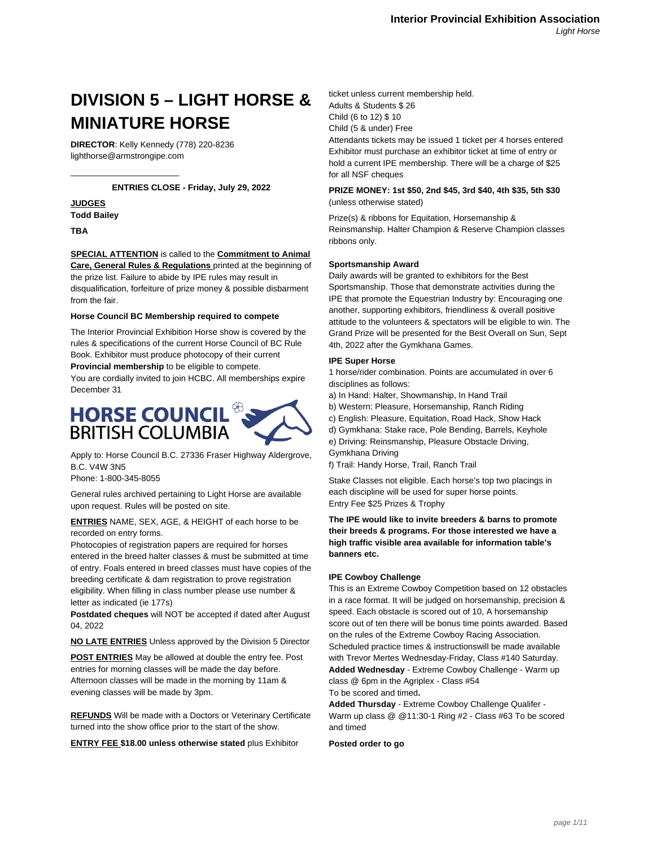# **DIVISION 5 – LIGHT HORSE & MINIATURE HORSE**

**DIRECTOR**: Kelly Kennedy (778) 220-8236 lighthorse@armstrongipe.com

\_\_\_\_\_\_\_\_\_\_\_\_\_\_\_\_\_\_\_\_\_\_\_

# **ENTRIES CLOSE - Friday, July 29, 2022**

# **JUDGES**

**Todd Bailey**

**TBA**

# **SPECIAL ATTENTION** is called to the **Commitment to Animal Care, General Rules & Regulations** printed at the beginning of

the prize list. Failure to abide by IPE rules may result in disqualification, forfeiture of prize money & possible disbarment from the fair.

## **Horse Council BC Membership required to compete**

The Interior Provincial Exhibition Horse show is covered by the rules & specifications of the current Horse Council of BC Rule Book. Exhibitor must produce photocopy of their current

**Provincial membership** to be eligible to compete.

You are cordially invited to join HCBC. All memberships expire December 31



Apply to: Horse Council B.C. 27336 Fraser Highway Aldergrove, B.C. V4W 3N5

Phone: 1-800-345-8055

General rules archived pertaining to Light Horse are available upon request. Rules will be posted on site.

# **ENTRIES** NAME, SEX, AGE, & HEIGHT of each horse to be recorded on entry forms.

Photocopies of registration papers are required for horses entered in the breed halter classes & must be submitted at time of entry. Foals entered in breed classes must have copies of the breeding certificate & dam registration to prove registration eligibility. When filling in class number please use number & letter as indicated (ie 177s)

**Postdated cheques** will NOT be accepted if dated after August 04, 2022

**NO LATE ENTRIES** Unless approved by the Division 5 Director

**POST ENTRIES** May be allowed at double the entry fee. Post entries for morning classes will be made the day before. Afternoon classes will be made in the morning by 11am & evening classes will be made by 3pm.

**REFUNDS** Will be made with a Doctors or Veterinary Certificate turned into the show office prior to the start of the show.

**ENTRY FEE \$18.00 unless otherwise stated** plus Exhibitor

ticket unless current membership held. Adults & Students \$ 26 Child (6 to 12) \$ 10 Child (5 & under) Free Attendants tickets may be issued 1 ticket per 4 horses entered

Exhibitor must purchase an exhibitor ticket at time of entry or hold a current IPE membership. There will be a charge of \$25 for all NSF cheques

# **PRIZE MONEY: 1st \$50, 2nd \$45, 3rd \$40, 4th \$35, 5th \$30** (unless otherwise stated)

Prize(s) & ribbons for Equitation, Horsemanship & Reinsmanship. Halter Champion & Reserve Champion classes ribbons only.

#### **Sportsmanship Award**

Daily awards will be granted to exhibitors for the Best Sportsmanship. Those that demonstrate activities during the IPE that promote the Equestrian Industry by: Encouraging one another, supporting exhibitors, friendliness & overall positive attitude to the volunteers & spectators will be eligible to win. The Grand Prize will be presented for the Best Overall on Sun, Sept 4th, 2022 after the Gymkhana Games.

#### **IPE Super Horse**

1 horse/rider combination. Points are accumulated in over 6 disciplines as follows:

- a) In Hand: Halter, Showmanship, In Hand Trail
- b) Western: Pleasure, Horsemanship, Ranch Riding
- c) English: Pleasure, Equitation, Road Hack, Show Hack
- d) Gymkhana: Stake race, Pole Bending, Barrels, Keyhole
- e) Driving: Reinsmanship, Pleasure Obstacle Driving,

Gymkhana Driving

f) Trail: Handy Horse, Trail, Ranch Trail

Stake Classes not eligible. Each horse's top two placings in each discipline will be used for super horse points. Entry Fee \$25 Prizes & Trophy

**The IPE would like to invite breeders & barns to promote their breeds & programs. For those interested we have a high traffic visible area available for information table's banners etc.**

#### **IPE Cowboy Challenge**

This is an Extreme Cowboy Competition based on 12 obstacles in a race format. It will be judged on horsemanship, precision & speed. Each obstacle is scored out of 10, A horsemanship score out of ten there will be bonus time points awarded. Based on the rules of the Extreme Cowboy Racing Association. Scheduled practice times & instructionswill be made available with Trevor Mertes Wednesday-Friday, Class #140 Saturday. **Added Wednesday** - Extreme Cowboy Challenge - Warm up class @ 6pm in the Agriplex - Class #54 To be scored and timed**.**

**Added Thursday** - Extreme Cowboy Challenge Qualifer - Warm up class @ @11:30-1 Ring #2 - Class #63 To be scored and timed

**Posted order to go**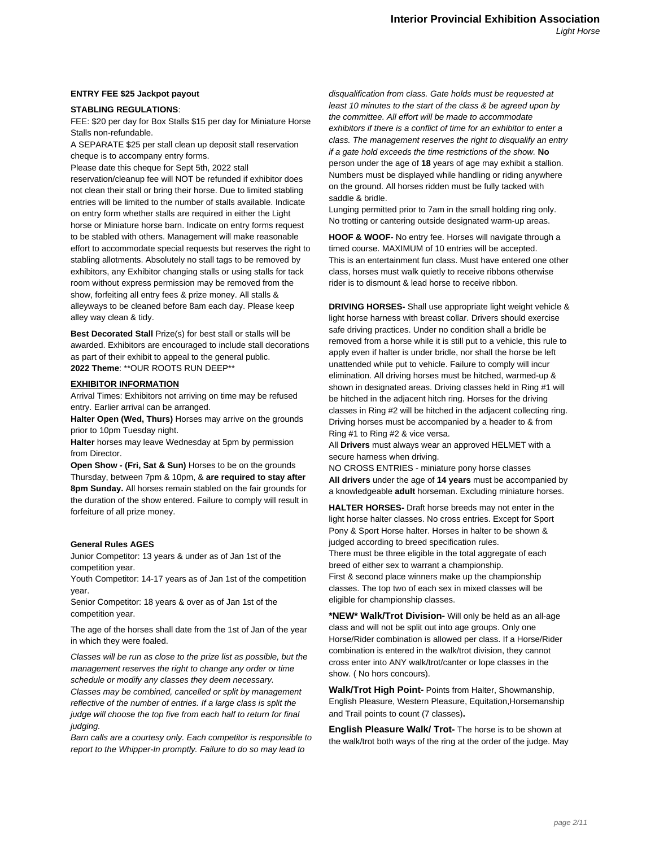#### **ENTRY FEE \$25 Jackpot payout**

#### **STABLING REGULATIONS**:

FEE: \$20 per day for Box Stalls \$15 per day for Miniature Horse Stalls non-refundable.

A SEPARATE \$25 per stall clean up deposit stall reservation cheque is to accompany entry forms.

Please date this cheque for Sept 5th, 2022 stall reservation/cleanup fee will NOT be refunded if exhibitor does not clean their stall or bring their horse. Due to limited stabling entries will be limited to the number of stalls available. Indicate on entry form whether stalls are required in either the Light horse or Miniature horse barn. Indicate on entry forms request to be stabled with others. Management will make reasonable

effort to accommodate special requests but reserves the right to stabling allotments. Absolutely no stall tags to be removed by exhibitors, any Exhibitor changing stalls or using stalls for tack room without express permission may be removed from the show, forfeiting all entry fees & prize money. All stalls & alleyways to be cleaned before 8am each day. Please keep alley way clean & tidy.

**Best Decorated Stall** Prize(s) for best stall or stalls will be awarded. Exhibitors are encouraged to include stall decorations as part of their exhibit to appeal to the general public. **2022 Theme**: \*\*OUR ROOTS RUN DEEP\*\*

#### **EXHIBITOR INFORMATION**

Arrival Times: Exhibitors not arriving on time may be refused entry. Earlier arrival can be arranged.

**Halter Open (Wed, Thurs)** Horses may arrive on the grounds prior to 10pm Tuesday night.

**Halter** horses may leave Wednesday at 5pm by permission from Director.

**Open Show - (Fri, Sat & Sun)** Horses to be on the grounds Thursday, between 7pm & 10pm, & **are required to stay after 8pm Sunday.** All horses remain stabled on the fair grounds for the duration of the show entered. Failure to comply will result in forfeiture of all prize money.

#### **General Rules AGES**

Junior Competitor: 13 years & under as of Jan 1st of the competition year.

Youth Competitor: 14-17 years as of Jan 1st of the competition year.

Senior Competitor: 18 years & over as of Jan 1st of the competition year.

The age of the horses shall date from the 1st of Jan of the year in which they were foaled.

Classes will be run as close to the prize list as possible, but the management reserves the right to change any order or time schedule or modify any classes they deem necessary. Classes may be combined, cancelled or split by management reflective of the number of entries. If a large class is split the judge will choose the top five from each half to return for final judging.

Barn calls are a courtesy only. Each competitor is responsible to report to the Whipper-In promptly. Failure to do so may lead to

disqualification from class. Gate holds must be requested at least 10 minutes to the start of the class & be agreed upon by the committee. All effort will be made to accommodate exhibitors if there is a conflict of time for an exhibitor to enter a class. The management reserves the right to disqualify an entry if a gate hold exceeds the time restrictions of the show. **No** person under the age of **18** years of age may exhibit a stallion. Numbers must be displayed while handling or riding anywhere on the ground. All horses ridden must be fully tacked with saddle & bridle.

Lunging permitted prior to 7am in the small holding ring only. No trotting or cantering outside designated warm-up areas.

**HOOF & WOOF-** No entry fee. Horses will navigate through a timed course. MAXIMUM of 10 entries will be accepted. This is an entertainment fun class. Must have entered one other class, horses must walk quietly to receive ribbons otherwise rider is to dismount & lead horse to receive ribbon.

**DRIVING HORSES-** Shall use appropriate light weight vehicle & light horse harness with breast collar. Drivers should exercise safe driving practices. Under no condition shall a bridle be removed from a horse while it is still put to a vehicle, this rule to apply even if halter is under bridle, nor shall the horse be left unattended while put to vehicle. Failure to comply will incur elimination. All driving horses must be hitched, warmed-up & shown in designated areas. Driving classes held in Ring #1 will be hitched in the adjacent hitch ring. Horses for the driving classes in Ring #2 will be hitched in the adjacent collecting ring. Driving horses must be accompanied by a header to & from Ring #1 to Ring #2 & vice versa.

All **Drivers** must always wear an approved HELMET with a secure harness when driving.

NO CROSS ENTRIES - miniature pony horse classes **All drivers** under the age of **14 years** must be accompanied by a knowledgeable **adult** horseman. Excluding miniature horses.

**HALTER HORSES-** Draft horse breeds may not enter in the light horse halter classes. No cross entries. Except for Sport Pony & Sport Horse halter. Horses in halter to be shown & judged according to breed specification rules.

There must be three eligible in the total aggregate of each breed of either sex to warrant a championship. First & second place winners make up the championship classes. The top two of each sex in mixed classes will be eligible for championship classes.

**\*NEW\* Walk/Trot Division-** Will only be held as an all-age class and will not be split out into age groups. Only one Horse/Rider combination is allowed per class. If a Horse/Rider combination is entered in the walk/trot division, they cannot cross enter into ANY walk/trot/canter or lope classes in the show. ( No hors concours).

**Walk/Trot High Point-** Points from Halter, Showmanship, English Pleasure, Western Pleasure, Equitation,Horsemanship and Trail points to count (7 classes)**.**

**English Pleasure Walk/ Trot-** The horse is to be shown at the walk/trot both ways of the ring at the order of the judge. May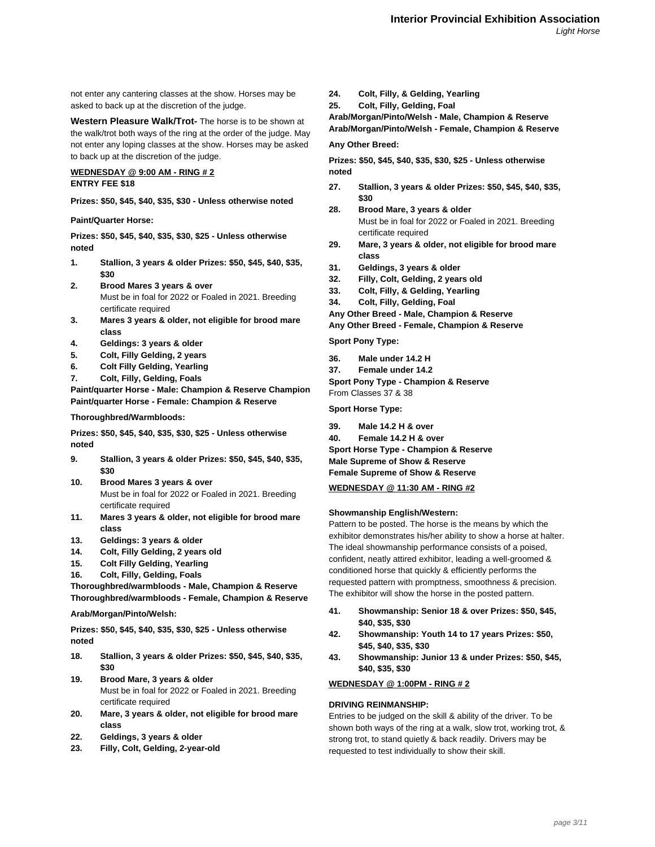not enter any cantering classes at the show. Horses may be asked to back up at the discretion of the judge.

**Western Pleasure Walk/Trot-** The horse is to be shown at the walk/trot both ways of the ring at the order of the judge. May not enter any loping classes at the show. Horses may be asked to back up at the discretion of the judge.

# **WEDNESDAY @ 9:00 AM - RING # 2**

# **ENTRY FEE \$18**

**Prizes: \$50, \$45, \$40, \$35, \$30 - Unless otherwise noted**

#### **Paint/Quarter Horse:**

**Prizes: \$50, \$45, \$40, \$35, \$30, \$25 - Unless otherwise noted**

- **1. Stallion, 3 years & older Prizes: \$50, \$45, \$40, \$35, \$30**
- **2. Brood Mares 3 years & over** Must be in foal for 2022 or Foaled in 2021. Breeding certificate required
- **3. Mares 3 years & older, not eligible for brood mare class**
- **4. Geldings: 3 years & older**
- **5. Colt, Filly Gelding, 2 years**
- **6. Colt Filly Gelding, Yearling**
- **7. Colt, Filly, Gelding, Foals**

**Paint/quarter Horse - Male: Champion & Reserve Champion Paint/quarter Horse - Female: Champion & Reserve**

#### **Thoroughbred/Warmbloods:**

**Prizes: \$50, \$45, \$40, \$35, \$30, \$25 - Unless otherwise noted**

- **9. Stallion, 3 years & older Prizes: \$50, \$45, \$40, \$35, \$30**
- **10. Brood Mares 3 years & over** Must be in foal for 2022 or Foaled in 2021. Breeding certificate required
- **11. Mares 3 years & older, not eligible for brood mare class**
- **13. Geldings: 3 years & older**
- **14. Colt, Filly Gelding, 2 years old**
- **15. Colt Filly Gelding, Yearling**
- **16. Colt, Filly, Gelding, Foals**

**Thoroughbred/warmbloods - Male, Champion & Reserve Thoroughbred/warmbloods - Female, Champion & Reserve**

#### **Arab/Morgan/Pinto/Welsh:**

**Prizes: \$50, \$45, \$40, \$35, \$30, \$25 - Unless otherwise noted**

- **18. Stallion, 3 years & older Prizes: \$50, \$45, \$40, \$35, \$30**
- **19. Brood Mare, 3 years & older** Must be in foal for 2022 or Foaled in 2021. Breeding certificate required
- **20. Mare, 3 years & older, not eligible for brood mare class**
- **22. Geldings, 3 years & older**
- **23. Filly, Colt, Gelding, 2-year-old**
- **24. Colt, Filly, & Gelding, Yearling**
- **25. Colt, Filly, Gelding, Foal**

**Arab/Morgan/Pinto/Welsh - Male, Champion & Reserve Arab/Morgan/Pinto/Welsh - Female, Champion & Reserve**

# **Any Other Breed:**

**Prizes: \$50, \$45, \$40, \$35, \$30, \$25 - Unless otherwise noted**

- **27. Stallion, 3 years & older Prizes: \$50, \$45, \$40, \$35, \$30**
- **28. Brood Mare, 3 years & older** Must be in foal for 2022 or Foaled in 2021. Breeding certificate required
- **29. Mare, 3 years & older, not eligible for brood mare class**
- **31. Geldings, 3 years & older**
- **32. Filly, Colt, Gelding, 2 years old**
- **33. Colt, Filly, & Gelding, Yearling**
- **34. Colt, Filly, Gelding, Foal**
- **Any Other Breed Male, Champion & Reserve**
- **Any Other Breed Female, Champion & Reserve**

**Sport Pony Type:**

- **36. Male under 14.2 H**
- **37. Female under 14.2 Sport Pony Type - Champion & Reserve**

From Classes 37 & 38

**Sport Horse Type:**

**39. Male 14.2 H & over 40. Female 14.2 H & over Sport Horse Type - Champion & Reserve Male Supreme of Show & Reserve Female Supreme of Show & Reserve**

# **WEDNESDAY @ 11:30 AM - RING #2**

#### **Showmanship English/Western:**

Pattern to be posted. The horse is the means by which the exhibitor demonstrates his/her ability to show a horse at halter. The ideal showmanship performance consists of a poised, confident, neatly attired exhibitor, leading a well-groomed & conditioned horse that quickly & efficiently performs the requested pattern with promptness, smoothness & precision. The exhibitor will show the horse in the posted pattern.

- **41. Showmanship: Senior 18 & over Prizes: \$50, \$45, \$40, \$35, \$30**
- **42. Showmanship: Youth 14 to 17 years Prizes: \$50, \$45, \$40, \$35, \$30**
- **43. Showmanship: Junior 13 & under Prizes: \$50, \$45, \$40, \$35, \$30**

# **WEDNESDAY @ 1:00PM - RING # 2**

#### **DRIVING REINMANSHIP:**

Entries to be judged on the skill & ability of the driver. To be shown both ways of the ring at a walk, slow trot, working trot, & strong trot, to stand quietly & back readily. Drivers may be requested to test individually to show their skill.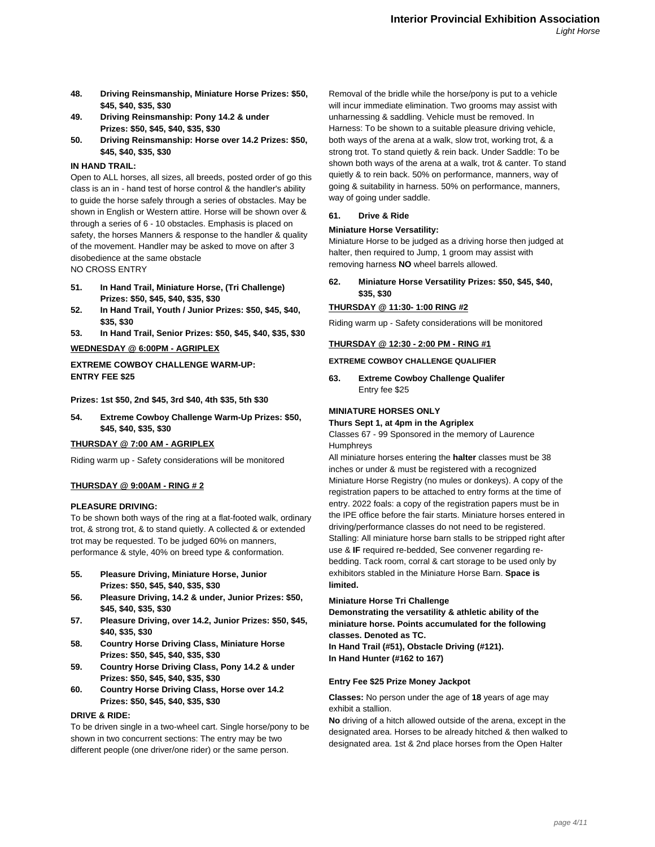- **48. Driving Reinsmanship, Miniature Horse Prizes: \$50, \$45, \$40, \$35, \$30**
- **49. Driving Reinsmanship: Pony 14.2 & under Prizes: \$50, \$45, \$40, \$35, \$30**
- **50. Driving Reinsmanship: Horse over 14.2 Prizes: \$50, \$45, \$40, \$35, \$30**

#### **IN HAND TRAIL:**

Open to ALL horses, all sizes, all breeds, posted order of go this class is an in - hand test of horse control & the handler's ability to guide the horse safely through a series of obstacles. May be shown in English or Western attire. Horse will be shown over & through a series of 6 - 10 obstacles. Emphasis is placed on safety, the horses Manners & response to the handler & quality of the movement. Handler may be asked to move on after 3 disobedience at the same obstacle NO CROSS ENTRY

- **51. In Hand Trail, Miniature Horse, (Tri Challenge) Prizes: \$50, \$45, \$40, \$35, \$30**
- **52. In Hand Trail, Youth / Junior Prizes: \$50, \$45, \$40, \$35, \$30**
- **53. In Hand Trail, Senior Prizes: \$50, \$45, \$40, \$35, \$30**

#### **WEDNESDAY @ 6:00PM - AGRIPLEX**

# **EXTREME COWBOY CHALLENGE WARM-UP: ENTRY FEE \$25**

**Prizes: 1st \$50, 2nd \$45, 3rd \$40, 4th \$35, 5th \$30**

**54. Extreme Cowboy Challenge Warm-Up Prizes: \$50, \$45, \$40, \$35, \$30**

#### **THURSDAY @ 7:00 AM - AGRIPLEX**

Riding warm up - Safety considerations will be monitored

#### **THURSDAY @ 9:00AM - RING # 2**

#### **PLEASURE DRIVING:**

To be shown both ways of the ring at a flat-footed walk, ordinary trot, & strong trot, & to stand quietly. A collected & or extended trot may be requested. To be judged 60% on manners, performance & style, 40% on breed type & conformation.

- **55. Pleasure Driving, Miniature Horse, Junior Prizes: \$50, \$45, \$40, \$35, \$30**
- **56. Pleasure Driving, 14.2 & under, Junior Prizes: \$50, \$45, \$40, \$35, \$30**
- **57. Pleasure Driving, over 14.2, Junior Prizes: \$50, \$45, \$40, \$35, \$30**
- **58. Country Horse Driving Class, Miniature Horse Prizes: \$50, \$45, \$40, \$35, \$30**
- **59. Country Horse Driving Class, Pony 14.2 & under Prizes: \$50, \$45, \$40, \$35, \$30**
- **60. Country Horse Driving Class, Horse over 14.2 Prizes: \$50, \$45, \$40, \$35, \$30**

#### **DRIVE & RIDE:**

To be driven single in a two-wheel cart. Single horse/pony to be shown in two concurrent sections: The entry may be two different people (one driver/one rider) or the same person.

Removal of the bridle while the horse/pony is put to a vehicle will incur immediate elimination. Two grooms may assist with unharnessing & saddling. Vehicle must be removed. In Harness: To be shown to a suitable pleasure driving vehicle, both ways of the arena at a walk, slow trot, working trot, & a strong trot. To stand quietly & rein back. Under Saddle: To be shown both ways of the arena at a walk, trot & canter. To stand quietly & to rein back. 50% on performance, manners, way of going & suitability in harness. 50% on performance, manners, way of going under saddle.

# **61. Drive & Ride**

#### **Miniature Horse Versatility:**

Miniature Horse to be judged as a driving horse then judged at halter, then required to Jump, 1 groom may assist with removing harness **NO** wheel barrels allowed.

**62. Miniature Horse Versatility Prizes: \$50, \$45, \$40, \$35, \$30**

#### **THURSDAY @ 11:30- 1:00 RING #2**

Riding warm up - Safety considerations will be monitored

#### **THURSDAY @ 12:30 - 2:00 PM - RING #1**

#### **EXTREME COWBOY CHALLENGE QUALIFIER**

**63. Extreme Cowboy Challenge Qualifer** Entry fee \$25

#### **MINIATURE HORSES ONLY**

**Thurs Sept 1, at 4pm in the Agriplex**

Classes 67 - 99 Sponsored in the memory of Laurence Humphreys

All miniature horses entering the **halter** classes must be 38 inches or under & must be registered with a recognized Miniature Horse Registry (no mules or donkeys). A copy of the registration papers to be attached to entry forms at the time of entry. 2022 foals: a copy of the registration papers must be in the IPE office before the fair starts. Miniature horses entered in driving/performance classes do not need to be registered. Stalling: All miniature horse barn stalls to be stripped right after use & **IF** required re-bedded, See convener regarding rebedding. Tack room, corral & cart storage to be used only by exhibitors stabled in the Miniature Horse Barn. **Space is limited.**

#### **Miniature Horse Tri Challenge**

**Demonstrating the versatility & athletic ability of the miniature horse. Points accumulated for the following classes. Denoted as TC. In Hand Trail (#51), Obstacle Driving (#121). In Hand Hunter (#162 to 167)**

# **Entry Fee \$25 Prize Money Jackpot**

**Classes:** No person under the age of **18** years of age may exhibit a stallion.

**No** driving of a hitch allowed outside of the arena, except in the designated area. Horses to be already hitched & then walked to designated area. 1st & 2nd place horses from the Open Halter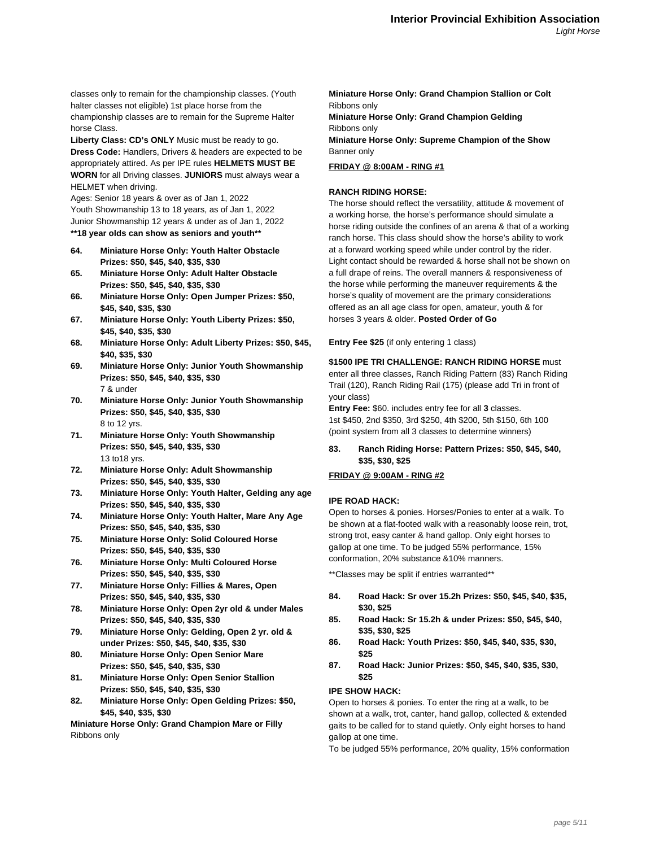classes only to remain for the championship classes. (Youth halter classes not eligible) 1st place horse from the championship classes are to remain for the Supreme Halter horse Class.

**Liberty Class: CD's ONLY** Music must be ready to go. **Dress Code:** Handlers, Drivers & headers are expected to be appropriately attired. As per IPE rules **HELMETS MUST BE WORN** for all Driving classes. **JUNIORS** must always wear a HELMET when driving.

Ages: Senior 18 years & over as of Jan 1, 2022 Youth Showmanship 13 to 18 years, as of Jan 1, 2022 Junior Showmanship 12 years & under as of Jan 1, 2022 **\*\*18 year olds can show as seniors and youth\*\***

- **64. Miniature Horse Only: Youth Halter Obstacle Prizes: \$50, \$45, \$40, \$35, \$30**
- **65. Miniature Horse Only: Adult Halter Obstacle Prizes: \$50, \$45, \$40, \$35, \$30**
- **66. Miniature Horse Only: Open Jumper Prizes: \$50, \$45, \$40, \$35, \$30**
- **67. Miniature Horse Only: Youth Liberty Prizes: \$50, \$45, \$40, \$35, \$30**
- **68. Miniature Horse Only: Adult Liberty Prizes: \$50, \$45, \$40, \$35, \$30**
- **69. Miniature Horse Only: Junior Youth Showmanship Prizes: \$50, \$45, \$40, \$35, \$30** 7 & under
- **70. Miniature Horse Only: Junior Youth Showmanship Prizes: \$50, \$45, \$40, \$35, \$30** 8 to 12 yrs.
- **71. Miniature Horse Only: Youth Showmanship Prizes: \$50, \$45, \$40, \$35, \$30** 13 to18 yrs.
- **72. Miniature Horse Only: Adult Showmanship Prizes: \$50, \$45, \$40, \$35, \$30**
- **73. Miniature Horse Only: Youth Halter, Gelding any age Prizes: \$50, \$45, \$40, \$35, \$30**
- **74. Miniature Horse Only: Youth Halter, Mare Any Age Prizes: \$50, \$45, \$40, \$35, \$30**
- **75. Miniature Horse Only: Solid Coloured Horse Prizes: \$50, \$45, \$40, \$35, \$30**
- **76. Miniature Horse Only: Multi Coloured Horse Prizes: \$50, \$45, \$40, \$35, \$30**
- **77. Miniature Horse Only: Fillies & Mares, Open Prizes: \$50, \$45, \$40, \$35, \$30**
- **78. Miniature Horse Only: Open 2yr old & under Males Prizes: \$50, \$45, \$40, \$35, \$30**
- **79. Miniature Horse Only: Gelding, Open 2 yr. old & under Prizes: \$50, \$45, \$40, \$35, \$30**
- **80. Miniature Horse Only: Open Senior Mare Prizes: \$50, \$45, \$40, \$35, \$30**
- **81. Miniature Horse Only: Open Senior Stallion Prizes: \$50, \$45, \$40, \$35, \$30**
- **82. Miniature Horse Only: Open Gelding Prizes: \$50, \$45, \$40, \$35, \$30**

**Miniature Horse Only: Grand Champion Mare or Filly** Ribbons only

**Miniature Horse Only: Grand Champion Stallion or Colt** Ribbons only **Miniature Horse Only: Grand Champion Gelding** Ribbons only **Miniature Horse Only: Supreme Champion of the Show** Banner only

# **FRIDAY @ 8:00AM - RING #1**

# **RANCH RIDING HORSE:**

The horse should reflect the versatility, attitude & movement of a working horse, the horse's performance should simulate a horse riding outside the confines of an arena & that of a working ranch horse. This class should show the horse's ability to work at a forward working speed while under control by the rider. Light contact should be rewarded & horse shall not be shown on a full drape of reins. The overall manners & responsiveness of the horse while performing the maneuver requirements & the horse's quality of movement are the primary considerations offered as an all age class for open, amateur, youth & for horses 3 years & older. **Posted Order of Go**

**Entry Fee \$25** (if only entering 1 class)

# **\$1500 IPE TRI CHALLENGE: RANCH RIDING HORSE** must

enter all three classes, Ranch Riding Pattern (83) Ranch Riding Trail (120), Ranch Riding Rail (175) (please add Tri in front of your class)

**Entry Fee:** \$60. includes entry fee for all **3** classes. 1st \$450, 2nd \$350, 3rd \$250, 4th \$200, 5th \$150, 6th 100 (point system from all 3 classes to determine winners)

# **83. Ranch Riding Horse: Pattern Prizes: \$50, \$45, \$40, \$35, \$30, \$25**

# **FRIDAY @ 9:00AM - RING #2**

# **IPE ROAD HACK:**

Open to horses & ponies. Horses/Ponies to enter at a walk. To be shown at a flat-footed walk with a reasonably loose rein, trot, strong trot, easy canter & hand gallop. Only eight horses to gallop at one time. To be judged 55% performance, 15% conformation, 20% substance &10% manners.

\*\*Classes may be split if entries warranted\*\*

- **84. Road Hack: Sr over 15.2h Prizes: \$50, \$45, \$40, \$35, \$30, \$25**
- **85. Road Hack: Sr 15.2h & under Prizes: \$50, \$45, \$40, \$35, \$30, \$25**
- **86. Road Hack: Youth Prizes: \$50, \$45, \$40, \$35, \$30, \$25**
- **87. Road Hack: Junior Prizes: \$50, \$45, \$40, \$35, \$30, \$25**

# **IPE SHOW HACK:**

Open to horses & ponies. To enter the ring at a walk, to be shown at a walk, trot, canter, hand gallop, collected & extended gaits to be called for to stand quietly. Only eight horses to hand gallop at one time.

To be judged 55% performance, 20% quality, 15% conformation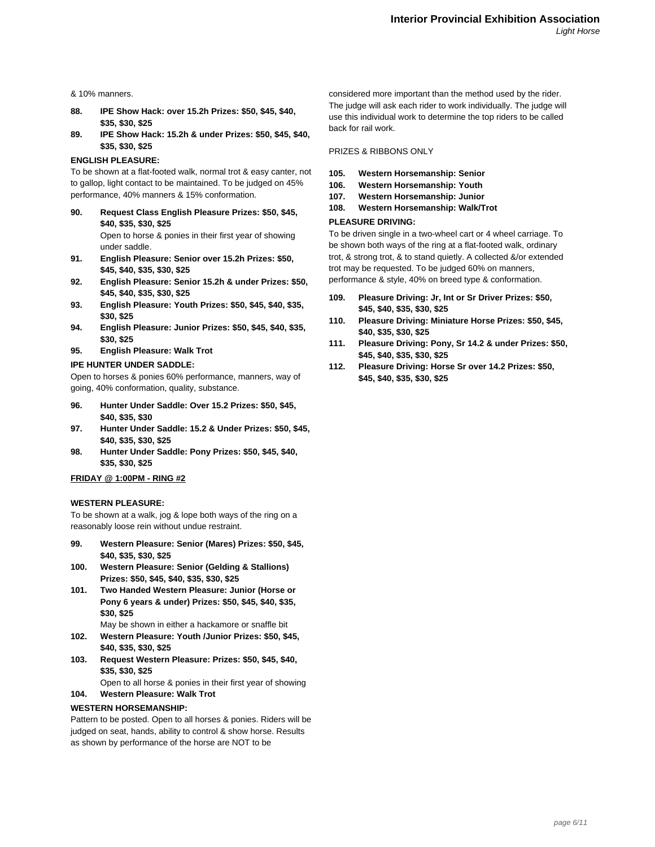& 10% manners.

- **88. IPE Show Hack: over 15.2h Prizes: \$50, \$45, \$40, \$35, \$30, \$25**
- **89. IPE Show Hack: 15.2h & under Prizes: \$50, \$45, \$40, \$35, \$30, \$25**

#### **ENGLISH PLEASURE:**

To be shown at a flat-footed walk, normal trot & easy canter, not to gallop, light contact to be maintained. To be judged on 45% performance, 40% manners & 15% conformation.

- **90. Request Class English Pleasure Prizes: \$50, \$45, \$40, \$35, \$30, \$25** Open to horse & ponies in their first year of showing under saddle.
- **91. English Pleasure: Senior over 15.2h Prizes: \$50, \$45, \$40, \$35, \$30, \$25**
- **92. English Pleasure: Senior 15.2h & under Prizes: \$50, \$45, \$40, \$35, \$30, \$25**
- **93. English Pleasure: Youth Prizes: \$50, \$45, \$40, \$35, \$30, \$25**
- **94. English Pleasure: Junior Prizes: \$50, \$45, \$40, \$35, \$30, \$25**
- **95. English Pleasure: Walk Trot**

#### **IPE HUNTER UNDER SADDLE:**

Open to horses & ponies 60% performance, manners, way of going, 40% conformation, quality, substance.

- **96. Hunter Under Saddle: Over 15.2 Prizes: \$50, \$45, \$40, \$35, \$30**
- **97. Hunter Under Saddle: 15.2 & Under Prizes: \$50, \$45, \$40, \$35, \$30, \$25**
- **98. Hunter Under Saddle: Pony Prizes: \$50, \$45, \$40, \$35, \$30, \$25**

#### **FRIDAY @ 1:00PM - RING #2**

#### **WESTERN PLEASURE:**

To be shown at a walk, jog & lope both ways of the ring on a reasonably loose rein without undue restraint.

- **99. Western Pleasure: Senior (Mares) Prizes: \$50, \$45, \$40, \$35, \$30, \$25**
- **100. Western Pleasure: Senior (Gelding & Stallions) Prizes: \$50, \$45, \$40, \$35, \$30, \$25**
- **101. Two Handed Western Pleasure: Junior (Horse or Pony 6 years & under) Prizes: \$50, \$45, \$40, \$35, \$30, \$25**

May be shown in either a hackamore or snaffle bit

- **102. Western Pleasure: Youth /Junior Prizes: \$50, \$45, \$40, \$35, \$30, \$25**
- **103. Request Western Pleasure: Prizes: \$50, \$45, \$40, \$35, \$30, \$25**

Open to all horse & ponies in their first year of showing

**104. Western Pleasure: Walk Trot**

#### **WESTERN HORSEMANSHIP:**

Pattern to be posted. Open to all horses & ponies. Riders will be judged on seat, hands, ability to control & show horse. Results as shown by performance of the horse are NOT to be

considered more important than the method used by the rider. The judge will ask each rider to work individually. The judge will use this individual work to determine the top riders to be called back for rail work.

PRIZES & RIBBONS ONLY

- **105. Western Horsemanship: Senior**
- **106. Western Horsemanship: Youth**
- **107. Western Horsemanship: Junior**
- **108. Western Horsemanship: Walk/Trot**

## **PLEASURE DRIVING:**

To be driven single in a two-wheel cart or 4 wheel carriage. To be shown both ways of the ring at a flat-footed walk, ordinary trot, & strong trot, & to stand quietly. A collected &/or extended trot may be requested. To be judged 60% on manners, performance & style, 40% on breed type & conformation.

- **109. Pleasure Driving: Jr, Int or Sr Driver Prizes: \$50, \$45, \$40, \$35, \$30, \$25**
- **110. Pleasure Driving: Miniature Horse Prizes: \$50, \$45, \$40, \$35, \$30, \$25**
- **111. Pleasure Driving: Pony, Sr 14.2 & under Prizes: \$50, \$45, \$40, \$35, \$30, \$25**
- **112. Pleasure Driving: Horse Sr over 14.2 Prizes: \$50, \$45, \$40, \$35, \$30, \$25**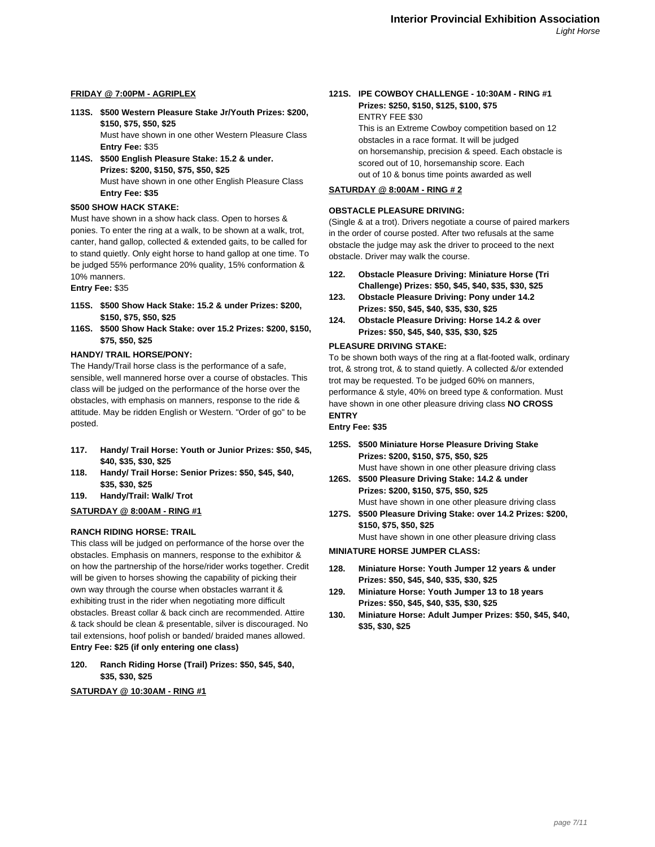# **FRIDAY @ 7:00PM - AGRIPLEX**

**113S. \$500 Western Pleasure Stake Jr/Youth Prizes: \$200, \$150, \$75, \$50, \$25**

Must have shown in one other Western Pleasure Class **Entry Fee:** \$35

**114S. \$500 English Pleasure Stake: 15.2 & under. Prizes: \$200, \$150, \$75, \$50, \$25** Must have shown in one other English Pleasure Class **Entry Fee: \$35**

#### **\$500 SHOW HACK STAKE:**

Must have shown in a show hack class. Open to horses & ponies. To enter the ring at a walk, to be shown at a walk, trot, canter, hand gallop, collected & extended gaits, to be called for to stand quietly. Only eight horse to hand gallop at one time. To be judged 55% performance 20% quality, 15% conformation & 10% manners.

#### **Entry Fee:** \$35

- **115S. \$500 Show Hack Stake: 15.2 & under Prizes: \$200, \$150, \$75, \$50, \$25**
- **116S. \$500 Show Hack Stake: over 15.2 Prizes: \$200, \$150, \$75, \$50, \$25**

#### **HANDY/ TRAIL HORSE/PONY:**

The Handy/Trail horse class is the performance of a safe, sensible, well mannered horse over a course of obstacles. This class will be judged on the performance of the horse over the obstacles, with emphasis on manners, response to the ride & attitude. May be ridden English or Western. "Order of go" to be posted.

- **117. Handy/ Trail Horse: Youth or Junior Prizes: \$50, \$45, \$40, \$35, \$30, \$25**
- **118. Handy/ Trail Horse: Senior Prizes: \$50, \$45, \$40, \$35, \$30, \$25**
- **119. Handy/Trail: Walk/ Trot**

# **SATURDAY @ 8:00AM - RING #1**

#### **RANCH RIDING HORSE: TRAIL**

This class will be judged on performance of the horse over the obstacles. Emphasis on manners, response to the exhibitor & on how the partnership of the horse/rider works together. Credit will be given to horses showing the capability of picking their own way through the course when obstacles warrant it & exhibiting trust in the rider when negotiating more difficult obstacles. Breast collar & back cinch are recommended. Attire & tack should be clean & presentable, silver is discouraged. No tail extensions, hoof polish or banded/ braided manes allowed. **Entry Fee: \$25 (if only entering one class)**

#### **120. Ranch Riding Horse (Trail) Prizes: \$50, \$45, \$40, \$35, \$30, \$25**

**SATURDAY @ 10:30AM - RING #1**

#### **121S. IPE COWBOY CHALLENGE - 10:30AM - RING #1 Prizes: \$250, \$150, \$125, \$100, \$75** ENTRY FEE \$30

This is an Extreme Cowboy competition based on 12 obstacles in a race format. It will be judged on horsemanship, precision & speed. Each obstacle is scored out of 10, horsemanship score. Each out of 10 & bonus time points awarded as well

# **SATURDAY @ 8:00AM - RING # 2**

# **OBSTACLE PLEASURE DRIVING:**

(Single & at a trot). Drivers negotiate a course of paired markers in the order of course posted. After two refusals at the same obstacle the judge may ask the driver to proceed to the next obstacle. Driver may walk the course.

- **122. Obstacle Pleasure Driving: Miniature Horse (Tri Challenge) Prizes: \$50, \$45, \$40, \$35, \$30, \$25**
- **123. Obstacle Pleasure Driving: Pony under 14.2 Prizes: \$50, \$45, \$40, \$35, \$30, \$25**
- **124. Obstacle Pleasure Driving: Horse 14.2 & over Prizes: \$50, \$45, \$40, \$35, \$30, \$25**

# **PLEASURE DRIVING STAKE:**

To be shown both ways of the ring at a flat-footed walk, ordinary trot, & strong trot, & to stand quietly. A collected &/or extended trot may be requested. To be judged 60% on manners, performance & style, 40% on breed type & conformation. Must have shown in one other pleasure driving class **NO CROSS ENTRY**

#### **Entry Fee: \$35**

**125S. \$500 Miniature Horse Pleasure Driving Stake Prizes: \$200, \$150, \$75, \$50, \$25**

Must have shown in one other pleasure driving class **126S. \$500 Pleasure Driving Stake: 14.2 & under**

- **Prizes: \$200, \$150, \$75, \$50, \$25** Must have shown in one other pleasure driving class
- **127S. \$500 Pleasure Driving Stake: over 14.2 Prizes: \$200, \$150, \$75, \$50, \$25**

Must have shown in one other pleasure driving class

#### **MINIATURE HORSE JUMPER CLASS:**

- **128. Miniature Horse: Youth Jumper 12 years & under Prizes: \$50, \$45, \$40, \$35, \$30, \$25**
- **129. Miniature Horse: Youth Jumper 13 to 18 years Prizes: \$50, \$45, \$40, \$35, \$30, \$25**
- **130. Miniature Horse: Adult Jumper Prizes: \$50, \$45, \$40, \$35, \$30, \$25**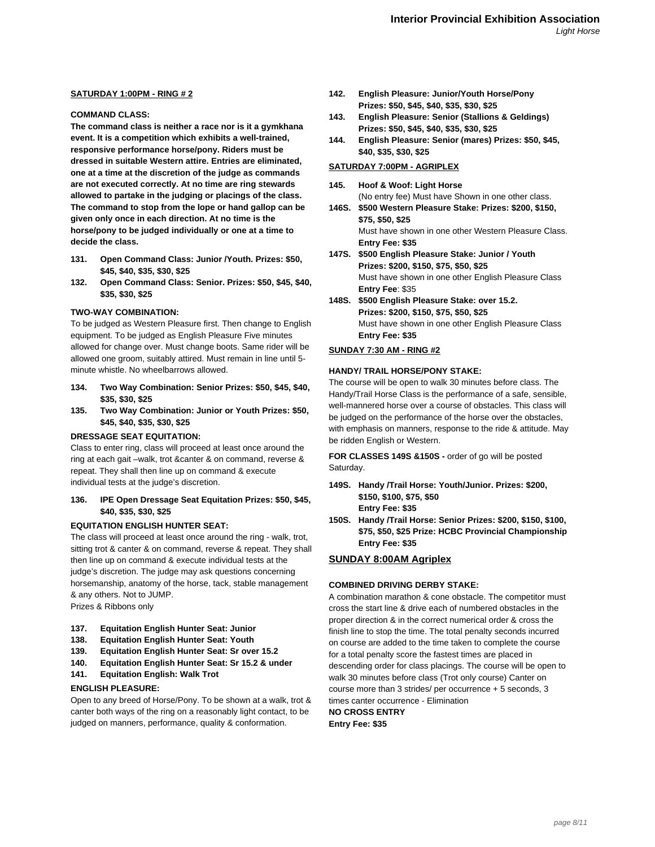# **SATURDAY 1:00PM - RING # 2**

# **COMMAND CLASS:**

**The command class is neither a race nor is it a gymkhana event. It is a competition which exhibits a well-trained, responsive performance horse/pony. Riders must be dressed in suitable Western attire. Entries are eliminated, one at a time at the discretion of the judge as commands are not executed correctly. At no time are ring stewards allowed to partake in the judging or placings of the class. The command to stop from the lope or hand gallop can be given only once in each direction. At no time is the horse/pony to be judged individually or one at a time to decide the class.**

- **131. Open Command Class: Junior /Youth. Prizes: \$50, \$45, \$40, \$35, \$30, \$25**
- **132. Open Command Class: Senior. Prizes: \$50, \$45, \$40, \$35, \$30, \$25**

# **TWO-WAY COMBINATION:**

To be judged as Western Pleasure first. Then change to English equipment. To be judged as English Pleasure Five minutes allowed for change over. Must change boots. Same rider will be allowed one groom, suitably attired. Must remain in line until 5 minute whistle. No wheelbarrows allowed.

- **134. Two Way Combination: Senior Prizes: \$50, \$45, \$40, \$35, \$30, \$25**
- **135. Two Way Combination: Junior or Youth Prizes: \$50, \$45, \$40, \$35, \$30, \$25**

#### **DRESSAGE SEAT EQUITATION:**

Class to enter ring, class will proceed at least once around the ring at each gait –walk, trot &canter & on command, reverse & repeat. They shall then line up on command & execute individual tests at the judge's discretion.

# **136. IPE Open Dressage Seat Equitation Prizes: \$50, \$45, \$40, \$35, \$30, \$25**

# **EQUITATION ENGLISH HUNTER SEAT:**

The class will proceed at least once around the ring - walk, trot, sitting trot & canter & on command, reverse & repeat. They shall then line up on command & execute individual tests at the judge's discretion. The judge may ask questions concerning horsemanship, anatomy of the horse, tack, stable management & any others. Not to JUMP.

Prizes & Ribbons only

#### **137. Equitation English Hunter Seat: Junior**

- **138. Equitation English Hunter Seat: Youth**
- **139. Equitation English Hunter Seat: Sr over 15.2**
- **140. Equitation English Hunter Seat: Sr 15.2 & under**
- **141. Equitation English: Walk Trot**

#### **ENGLISH PLEASURE:**

Open to any breed of Horse/Pony. To be shown at a walk, trot & canter both ways of the ring on a reasonably light contact, to be judged on manners, performance, quality & conformation.

- **142. English Pleasure: Junior/Youth Horse/Pony Prizes: \$50, \$45, \$40, \$35, \$30, \$25**
- **143. English Pleasure: Senior (Stallions & Geldings) Prizes: \$50, \$45, \$40, \$35, \$30, \$25**
- **144. English Pleasure: Senior (mares) Prizes: \$50, \$45, \$40, \$35, \$30, \$25**

# **SATURDAY 7:00PM - AGRIPLEX**

- **145. Hoof & Woof: Light Horse** (No entry fee) Must have Shown in one other class.
- **146S. \$500 Western Pleasure Stake: Prizes: \$200, \$150, \$75, \$50, \$25** Must have shown in one other Western Pleasure Class. **Entry Fee: \$35**
- **147S. \$500 English Pleasure Stake: Junior / Youth Prizes: \$200, \$150, \$75, \$50, \$25** Must have shown in one other English Pleasure Class **Entry Fee**: \$35
- **148S. \$500 English Pleasure Stake: over 15.2. Prizes: \$200, \$150, \$75, \$50, \$25** Must have shown in one other English Pleasure Class **Entry Fee: \$35**

# **SUNDAY 7:30 AM - RING #2**

#### **HANDY/ TRAIL HORSE/PONY STAKE:**

The course will be open to walk 30 minutes before class. The Handy/Trail Horse Class is the performance of a safe, sensible, well-mannered horse over a course of obstacles. This class will be judged on the performance of the horse over the obstacles, with emphasis on manners, response to the ride & attitude. May be ridden English or Western.

**FOR CLASSES 149S &150S -** order of go will be posted Saturday.

- **149S. Handy /Trail Horse: Youth/Junior. Prizes: \$200, \$150, \$100, \$75, \$50**
	- **Entry Fee: \$35**
- **150S. Handy /Trail Horse: Senior Prizes: \$200, \$150, \$100, \$75, \$50, \$25 Prize: HCBC Provincial Championship Entry Fee: \$35**

# **SUNDAY 8:00AM Agriplex**

# **COMBINED DRIVING DERBY STAKE:**

A combination marathon & cone obstacle. The competitor must cross the start line & drive each of numbered obstacles in the proper direction & in the correct numerical order & cross the finish line to stop the time. The total penalty seconds incurred on course are added to the time taken to complete the course for a total penalty score the fastest times are placed in descending order for class placings. The course will be open to walk 30 minutes before class (Trot only course) Canter on course more than 3 strides/ per occurrence + 5 seconds, 3 times canter occurrence - Elimination

**NO CROSS ENTRY Entry Fee: \$35**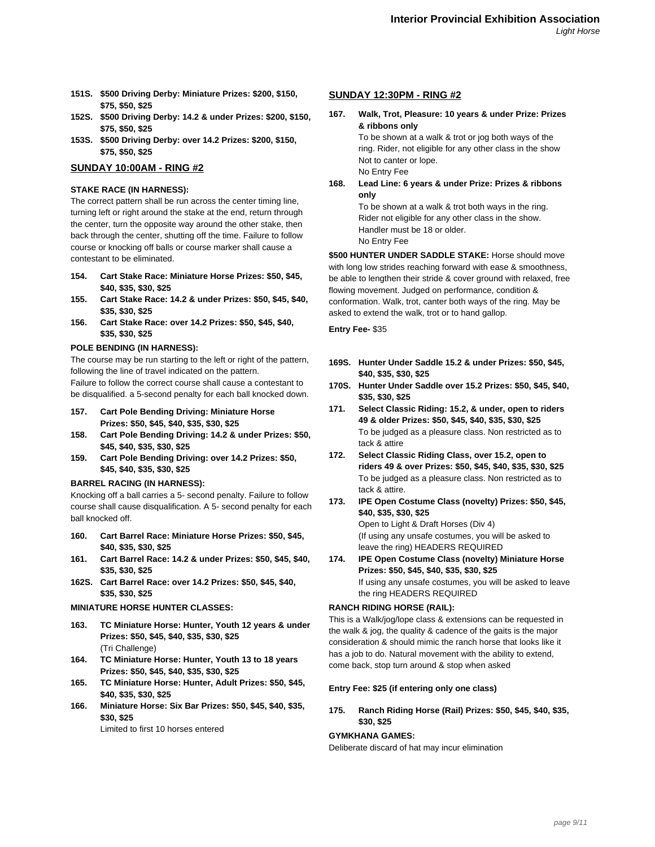- **151S. \$500 Driving Derby: Miniature Prizes: \$200, \$150, \$75, \$50, \$25**
- **152S. \$500 Driving Derby: 14.2 & under Prizes: \$200, \$150, \$75, \$50, \$25**
- **153S. \$500 Driving Derby: over 14.2 Prizes: \$200, \$150, \$75, \$50, \$25**

# **SUNDAY 10:00AM - RING #2**

# **STAKE RACE (IN HARNESS):**

The correct pattern shall be run across the center timing line, turning left or right around the stake at the end, return through the center, turn the opposite way around the other stake, then back through the center, shutting off the time. Failure to follow course or knocking off balls or course marker shall cause a contestant to be eliminated.

- **154. Cart Stake Race: Miniature Horse Prizes: \$50, \$45, \$40, \$35, \$30, \$25**
- **155. Cart Stake Race: 14.2 & under Prizes: \$50, \$45, \$40, \$35, \$30, \$25**
- **156. Cart Stake Race: over 14.2 Prizes: \$50, \$45, \$40, \$35, \$30, \$25**

# **POLE BENDING (IN HARNESS):**

The course may be run starting to the left or right of the pattern, following the line of travel indicated on the pattern.

Failure to follow the correct course shall cause a contestant to be disqualified. a 5-second penalty for each ball knocked down.

- **157. Cart Pole Bending Driving: Miniature Horse Prizes: \$50, \$45, \$40, \$35, \$30, \$25**
- **158. Cart Pole Bending Driving: 14.2 & under Prizes: \$50, \$45, \$40, \$35, \$30, \$25**
- **159. Cart Pole Bending Driving: over 14.2 Prizes: \$50, \$45, \$40, \$35, \$30, \$25**

#### **BARREL RACING (IN HARNESS):**

Knocking off a ball carries a 5- second penalty. Failure to follow course shall cause disqualification. A 5- second penalty for each ball knocked off.

- **160. Cart Barrel Race: Miniature Horse Prizes: \$50, \$45, \$40, \$35, \$30, \$25**
- **161. Cart Barrel Race: 14.2 & under Prizes: \$50, \$45, \$40, \$35, \$30, \$25**
- **162S. Cart Barrel Race: over 14.2 Prizes: \$50, \$45, \$40, \$35, \$30, \$25**

## **MINIATURE HORSE HUNTER CLASSES:**

- **163. TC Miniature Horse: Hunter, Youth 12 years & under Prizes: \$50, \$45, \$40, \$35, \$30, \$25** (Tri Challenge)
- **164. TC Miniature Horse: Hunter, Youth 13 to 18 years Prizes: \$50, \$45, \$40, \$35, \$30, \$25**
- **165. TC Miniature Horse: Hunter, Adult Prizes: \$50, \$45, \$40, \$35, \$30, \$25**
- **166. Miniature Horse: Six Bar Prizes: \$50, \$45, \$40, \$35, \$30, \$25**

Limited to first 10 horses entered

#### **SUNDAY 12:30PM - RING #2**

**167. Walk, Trot, Pleasure: 10 years & under Prize: Prizes & ribbons only**

> To be shown at a walk & trot or jog both ways of the ring. Rider, not eligible for any other class in the show Not to canter or lope. No Entry Fee

**168. Lead Line: 6 years & under Prize: Prizes & ribbons only**

To be shown at a walk & trot both ways in the ring. Rider not eligible for any other class in the show. Handler must be 18 or older. No Entry Fee

**\$500 HUNTER UNDER SADDLE STAKE:** Horse should move with long low strides reaching forward with ease & smoothness, be able to lengthen their stride & cover ground with relaxed, free flowing movement. Judged on performance, condition & conformation. Walk, trot, canter both ways of the ring. May be asked to extend the walk, trot or to hand gallop.

**Entry Fee-** \$35

- **169S. Hunter Under Saddle 15.2 & under Prizes: \$50, \$45, \$40, \$35, \$30, \$25**
- **170S. Hunter Under Saddle over 15.2 Prizes: \$50, \$45, \$40, \$35, \$30, \$25**
- **171. Select Classic Riding: 15.2, & under, open to riders 49 & older Prizes: \$50, \$45, \$40, \$35, \$30, \$25** To be judged as a pleasure class. Non restricted as to tack & attire
- **172. Select Classic Riding Class, over 15.2, open to riders 49 & over Prizes: \$50, \$45, \$40, \$35, \$30, \$25** To be judged as a pleasure class. Non restricted as to tack & attire.
- **173. IPE Open Costume Class (novelty) Prizes: \$50, \$45, \$40, \$35, \$30, \$25** Open to Light & Draft Horses (Div 4) (If using any unsafe costumes, you will be asked to leave the ring) HEADERS REQUIRED
- **174. IPE Open Costume Class (novelty) Miniature Horse Prizes: \$50, \$45, \$40, \$35, \$30, \$25** If using any unsafe costumes, you will be asked to leave the ring HEADERS REQUIRED

#### **RANCH RIDING HORSE (RAIL):**

This is a Walk/jog/lope class & extensions can be requested in the walk & jog, the quality & cadence of the gaits is the major consideration & should mimic the ranch horse that looks like it has a job to do. Natural movement with the ability to extend, come back, stop turn around & stop when asked

#### **Entry Fee: \$25 (if entering only one class)**

**175. Ranch Riding Horse (Rail) Prizes: \$50, \$45, \$40, \$35, \$30, \$25**

#### **GYMKHANA GAMES:**

Deliberate discard of hat may incur elimination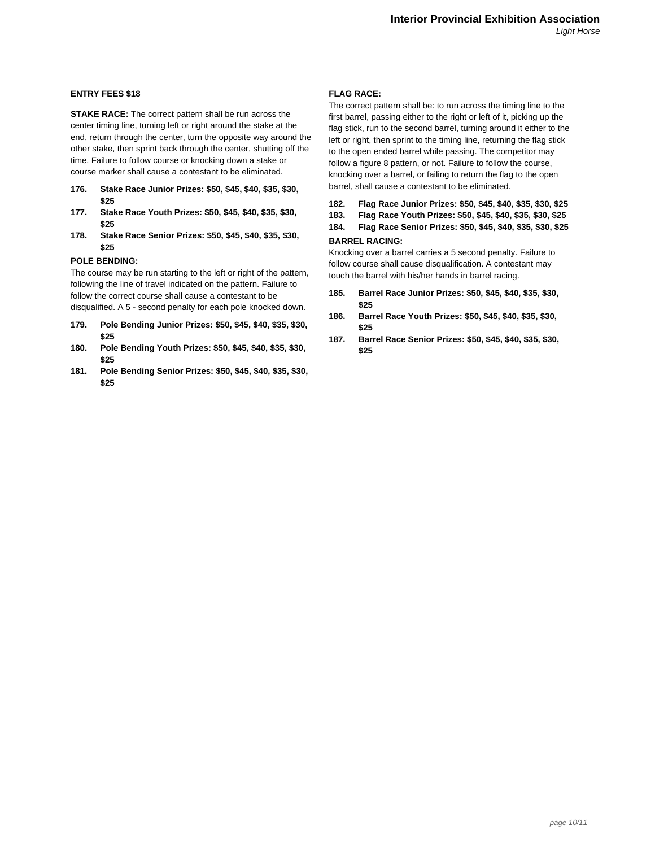## **ENTRY FEES \$18**

**STAKE RACE:** The correct pattern shall be run across the center timing line, turning left or right around the stake at the end, return through the center, turn the opposite way around the other stake, then sprint back through the center, shutting off the time. Failure to follow course or knocking down a stake or course marker shall cause a contestant to be eliminated.

- **176. Stake Race Junior Prizes: \$50, \$45, \$40, \$35, \$30, \$25**
- **177. Stake Race Youth Prizes: \$50, \$45, \$40, \$35, \$30, \$25**
- **178. Stake Race Senior Prizes: \$50, \$45, \$40, \$35, \$30, \$25**

#### **POLE BENDING:**

The course may be run starting to the left or right of the pattern, following the line of travel indicated on the pattern. Failure to follow the correct course shall cause a contestant to be disqualified. A 5 - second penalty for each pole knocked down.

- **179. Pole Bending Junior Prizes: \$50, \$45, \$40, \$35, \$30, \$25**
- **180. Pole Bending Youth Prizes: \$50, \$45, \$40, \$35, \$30, \$25**
- **181. Pole Bending Senior Prizes: \$50, \$45, \$40, \$35, \$30, \$25**

#### **FLAG RACE:**

The correct pattern shall be: to run across the timing line to the first barrel, passing either to the right or left of it, picking up the flag stick, run to the second barrel, turning around it either to the left or right, then sprint to the timing line, returning the flag stick to the open ended barrel while passing. The competitor may follow a figure 8 pattern, or not. Failure to follow the course, knocking over a barrel, or failing to return the flag to the open barrel, shall cause a contestant to be eliminated.

- **182. Flag Race Junior Prizes: \$50, \$45, \$40, \$35, \$30, \$25**
- **183. Flag Race Youth Prizes: \$50, \$45, \$40, \$35, \$30, \$25**
- **184. Flag Race Senior Prizes: \$50, \$45, \$40, \$35, \$30, \$25 BARREL RACING:**

Knocking over a barrel carries a 5 second penalty. Failure to follow course shall cause disqualification. A contestant may touch the barrel with his/her hands in barrel racing.

- **185. Barrel Race Junior Prizes: \$50, \$45, \$40, \$35, \$30, \$25**
- **186. Barrel Race Youth Prizes: \$50, \$45, \$40, \$35, \$30, \$25**
- **187. Barrel Race Senior Prizes: \$50, \$45, \$40, \$35, \$30, \$25**